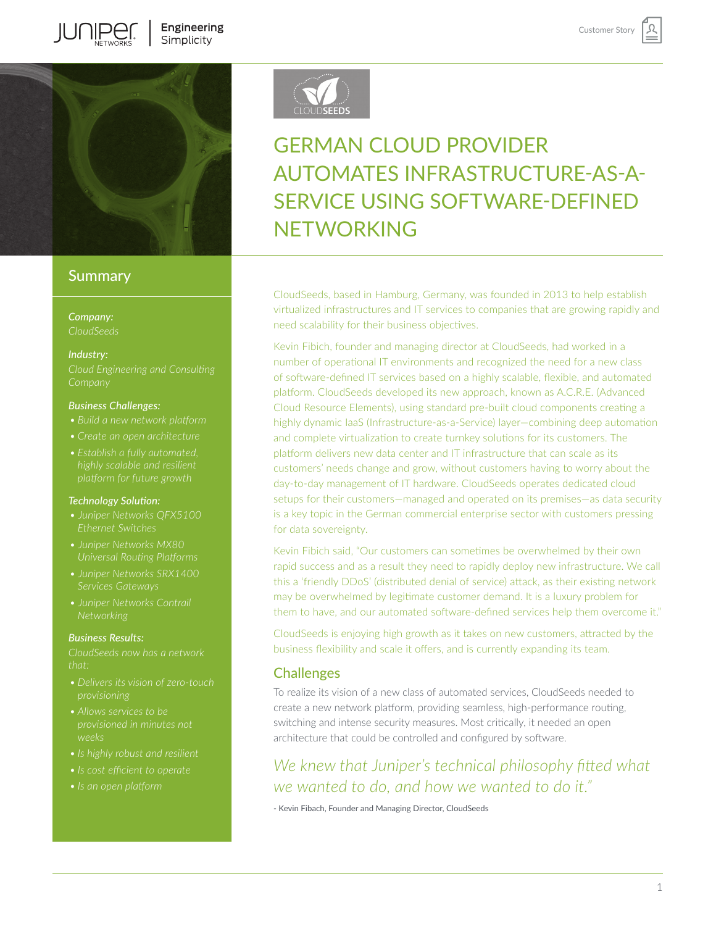

## **Summary**

*Company: CloudSeeds* 

#### *Industry:*

#### *Business Challenges:*

- 
- 
- 

#### *Technology Solution:*

- *Ethernet Switches*
- 
- 
- *Juniper Networks Contrail*

#### *Business Results:*

*CloudSeeds now has a network* 

- 
- 
- 
- 
- *• Is an open platform*



# GERMAN CLOUD PROVIDER AUTOMATES INFRASTRUCTURE-AS-A-SERVICE USING SOFTWARE-DEFINED **NFTWORKING**

CloudSeeds, based in Hamburg, Germany, was founded in 2013 to help establish virtualized infrastructures and IT services to companies that are growing rapidly and need scalability for their business objectives.

Kevin Fibich, founder and managing director at CloudSeeds, had worked in a number of operational IT environments and recognized the need for a new class of software-defined IT services based on a highly scalable, flexible, and automated platform. CloudSeeds developed its new approach, known as A.C.R.E. (Advanced Cloud Resource Elements), using standard pre-built cloud components creating a highly dynamic IaaS (Infrastructure-as-a-Service) layer—combining deep automation and complete virtualization to create turnkey solutions for its customers. The platform delivers new data center and IT infrastructure that can scale as its customers' needs change and grow, without customers having to worry about the day-to-day management of IT hardware. CloudSeeds operates dedicated cloud setups for their customers—managed and operated on its premises—as data security is a key topic in the German commercial enterprise sector with customers pressing for data sovereignty.

Kevin Fibich said, "Our customers can sometimes be overwhelmed by their own rapid success and as a result they need to rapidly deploy new infrastructure. We call this a 'friendly DDoS' (distributed denial of service) attack, as their existing network may be overwhelmed by legitimate customer demand. It is a luxury problem for them to have, and our automated software-defined services help them overcome it."

CloudSeeds is enjoying high growth as it takes on new customers, attracted by the business flexibility and scale it offers, and is currently expanding its team.

## **Challenges**

To realize its vision of a new class of automated services, CloudSeeds needed to create a new network platform, providing seamless, high-performance routing, switching and intense security measures. Most critically, it needed an open architecture that could be controlled and configured by software.

*We knew that Juniper's technical philosophy fitted what we wanted to do, and how we wanted to do it."* 

- Kevin Fibach, Founder and Managing Director, CloudSeeds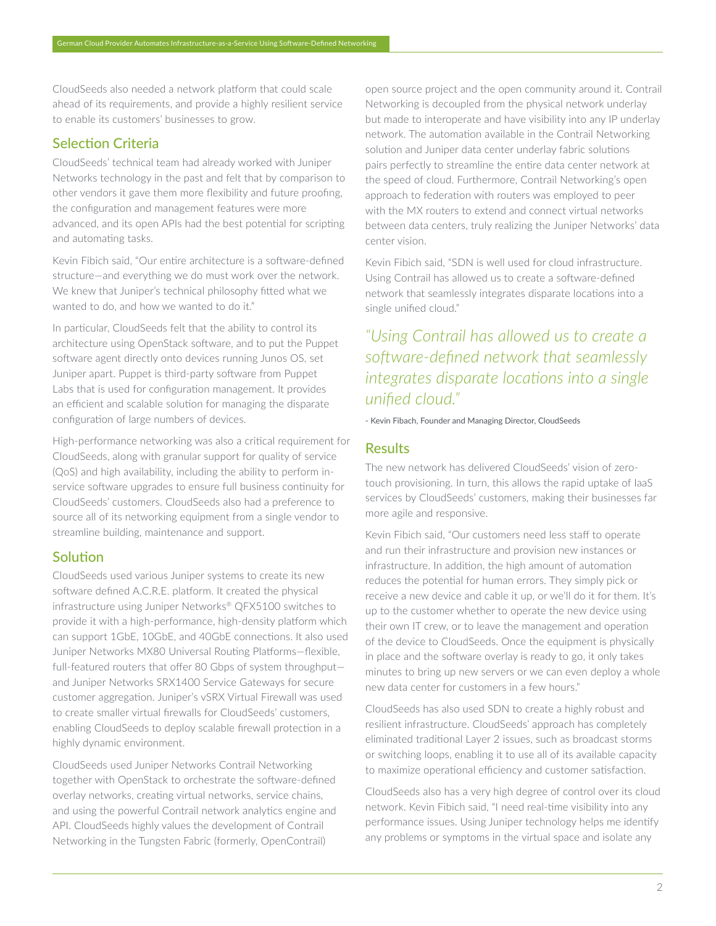CloudSeeds also needed a network platform that could scale ahead of its requirements, and provide a highly resilient service to enable its customers' businesses to grow.

## Selection Criteria

CloudSeeds' technical team had already worked with Juniper Networks technology in the past and felt that by comparison to other vendors it gave them more flexibility and future proofing, the configuration and management features were more advanced, and its open APIs had the best potential for scripting and automating tasks.

Kevin Fibich said, "Our entire architecture is a software-defined structure—and everything we do must work over the network. We knew that Juniper's technical philosophy fitted what we wanted to do, and how we wanted to do it."

In particular, CloudSeeds felt that the ability to control its architecture using OpenStack software, and to put the Puppet software agent directly onto devices running Junos OS, set Juniper apart. Puppet is third-party software from Puppet Labs that is used for configuration management. It provides an efficient and scalable solution for managing the disparate configuration of large numbers of devices.

High-performance networking was also a critical requirement for CloudSeeds, along with granular support for quality of service (QoS) and high availability, including the ability to perform inservice software upgrades to ensure full business continuity for CloudSeeds' customers. CloudSeeds also had a preference to source all of its networking equipment from a single vendor to streamline building, maintenance and support.

## **Solution**

CloudSeeds used various Juniper systems to create its new software defined A.C.R.E. platform. It created the physical infrastructure using Juniper Networks® QFX5100 switches to provide it with a high-performance, high-density platform which can support 1GbE, 10GbE, and 40GbE connections. It also used Juniper Networks MX80 Universal Routing Platforms—flexible, full-featured routers that offer 80 Gbps of system throughput and Juniper Networks SRX1400 Service Gateways for secure customer aggregation. Juniper's vSRX Virtual Firewall was used to create smaller virtual firewalls for CloudSeeds' customers, enabling CloudSeeds to deploy scalable firewall protection in a highly dynamic environment.

CloudSeeds used Juniper Networks Contrail Networking together with OpenStack to orchestrate the software-defined overlay networks, creating virtual networks, service chains, and using the powerful Contrail network analytics engine and API. CloudSeeds highly values the development of Contrail Networking in the Tungsten Fabric (formerly, OpenContrail)

open source project and the open community around it. Contrail Networking is decoupled from the physical network underlay but made to interoperate and have visibility into any IP underlay network. The automation available in the Contrail Networking solution and Juniper data center underlay fabric solutions pairs perfectly to streamline the entire data center network at the speed of cloud. Furthermore, Contrail Networking's open approach to federation with routers was employed to peer with the MX routers to extend and connect virtual networks between data centers, truly realizing the Juniper Networks' data center vision.

Kevin Fibich said, "SDN is well used for cloud infrastructure. Using Contrail has allowed us to create a software-defined network that seamlessly integrates disparate locations into a single unified cloud."

*"Using Contrail has allowed us to create a software-defined network that seamlessly integrates disparate locations into a single unified cloud."* 

- Kevin Fibach, Founder and Managing Director, CloudSeeds

## **Results**

The new network has delivered CloudSeeds' vision of zerotouch provisioning. In turn, this allows the rapid uptake of IaaS services by CloudSeeds' customers, making their businesses far more agile and responsive.

Kevin Fibich said, "Our customers need less staff to operate and run their infrastructure and provision new instances or infrastructure. In addition, the high amount of automation reduces the potential for human errors. They simply pick or receive a new device and cable it up, or we'll do it for them. It's up to the customer whether to operate the new device using their own IT crew, or to leave the management and operation of the device to CloudSeeds. Once the equipment is physically in place and the software overlay is ready to go, it only takes minutes to bring up new servers or we can even deploy a whole new data center for customers in a few hours."

CloudSeeds has also used SDN to create a highly robust and resilient infrastructure. CloudSeeds' approach has completely eliminated traditional Layer 2 issues, such as broadcast storms or switching loops, enabling it to use all of its available capacity to maximize operational efficiency and customer satisfaction.

CloudSeeds also has a very high degree of control over its cloud network. Kevin Fibich said, "I need real-time visibility into any performance issues. Using Juniper technology helps me identify any problems or symptoms in the virtual space and isolate any